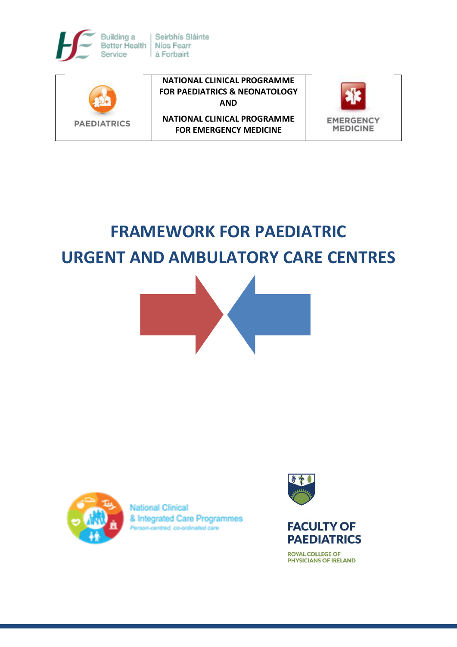





**NATIONAL CLINICAL PROGRAMME FOR EMERGENCY MEDICINE**



# **FRAMEWORK FOR PAEDIATRIC URGENT AND AMBULATORY CARE CENTRES**





**National Clinical** & Integrated Care Programmes son-centred, co-ordinated care





**ROYAL COLLEGE OF PHYSICIANS OF IRELAND**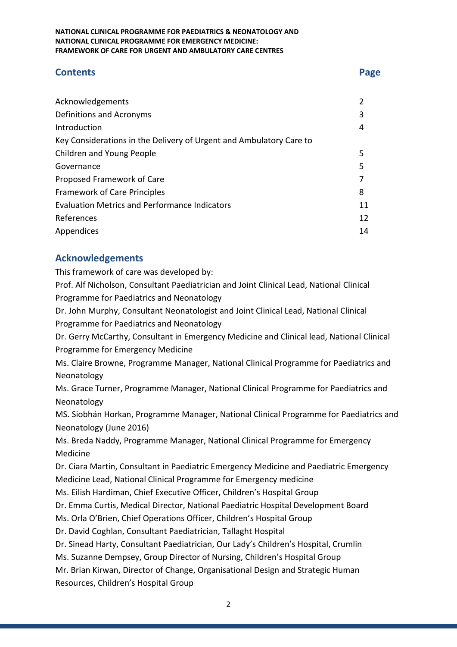# **Contents Page**

| Acknowledgements                                                    | 2  |
|---------------------------------------------------------------------|----|
| Definitions and Acronyms                                            |    |
| Introduction                                                        | 4  |
| Key Considerations in the Delivery of Urgent and Ambulatory Care to |    |
| Children and Young People                                           | 5  |
| Governance                                                          | 5  |
| Proposed Framework of Care                                          |    |
| <b>Framework of Care Principles</b>                                 |    |
| <b>Evaluation Metrics and Performance Indicators</b>                |    |
| References                                                          | 12 |
| Appendices                                                          |    |

# **Acknowledgements**

This framework of care was developed by:

Prof. Alf Nicholson, Consultant Paediatrician and Joint Clinical Lead, National Clinical Programme for Paediatrics and Neonatology

Dr. John Murphy, Consultant Neonatologist and Joint Clinical Lead, National Clinical Programme for Paediatrics and Neonatology

Dr. Gerry McCarthy, Consultant in Emergency Medicine and Clinical lead, National Clinical Programme for Emergency Medicine

Ms. Claire Browne, Programme Manager, National Clinical Programme for Paediatrics and Neonatology

Ms. Grace Turner, Programme Manager, National Clinical Programme for Paediatrics and Neonatology

MS. Siobhán Horkan, Programme Manager, National Clinical Programme for Paediatrics and Neonatology (June 2016)

Ms. Breda Naddy, Programme Manager, National Clinical Programme for Emergency Medicine

Dr. Ciara Martin, Consultant in Paediatric Emergency Medicine and Paediatric Emergency Medicine Lead, National Clinical Programme for Emergency medicine

Ms. Eilish Hardiman, Chief Executive Officer, Children's Hospital Group

Dr. Emma Curtis, Medical Director, National Paediatric Hospital Development Board

Ms. Orla O'Brien, Chief Operations Officer, Children's Hospital Group

Dr. David Coghlan, Consultant Paediatrician, Tallaght Hospital

Dr. Sinead Harty, Consultant Paediatrician, Our Lady's Children's Hospital, Crumlin

Ms. Suzanne Dempsey, Group Director of Nursing, Children's Hospital Group

Mr. Brian Kirwan, Director of Change, Organisational Design and Strategic Human Resources, Children's Hospital Group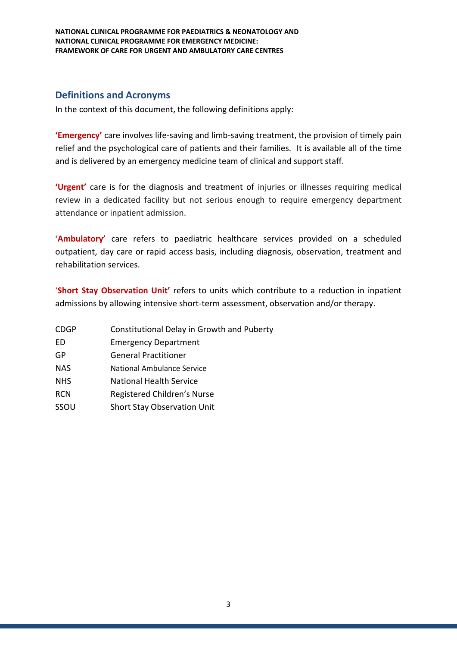# **Definitions and Acronyms**

In the context of this document, the following definitions apply:

**'Emergency'** care involves life-saving and limb-saving treatment, the provision of timely pain relief and the psychological care of patients and their families. It is available all of the time and is delivered by an emergency medicine team of clinical and support staff.

**'Urgent'** care is for the diagnosis and treatment of injuries or illnesses requiring medical review in a dedicated facility but not serious enough to require emergency department attendance or inpatient admission.

**'Ambulatory'** care refers to paediatric healthcare services provided on a scheduled outpatient, day care or rapid access basis, including diagnosis, observation, treatment and rehabilitation services.

'**Short Stay Observation Unit'** refers to units which contribute to a reduction in inpatient admissions by allowing intensive short-term assessment, observation and/or therapy.

- CDGP Constitutional Delay in Growth and Puberty
- ED Emergency Department
- GP General Practitioner
- NAS National Ambulance Service
- NHS National Health Service
- RCN Registered Children's Nurse
- SSOU Short Stay Observation Unit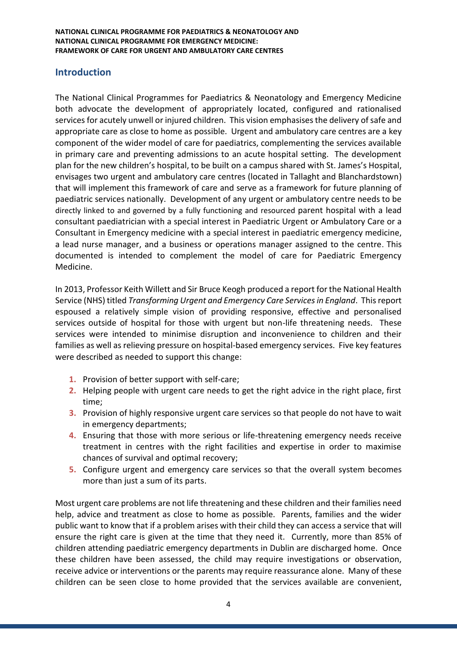# **Introduction**

The National Clinical Programmes for Paediatrics & Neonatology and Emergency Medicine both advocate the development of appropriately located, configured and rationalised services for acutely unwell or injured children. This vision emphasises the delivery of safe and appropriate care as close to home as possible. Urgent and ambulatory care centres are a key component of the wider model of care for paediatrics, complementing the services available in primary care and preventing admissions to an acute hospital setting. The development plan for the new children's hospital, to be built on a campus shared with St. James's Hospital, envisages two urgent and ambulatory care centres (located in Tallaght and Blanchardstown) that will implement this framework of care and serve as a framework for future planning of paediatric services nationally. Development of any urgent or ambulatory centre needs to be directly linked to and governed by a fully functioning and resourced parent hospital with a lead consultant paediatrician with a special interest in Paediatric Urgent or Ambulatory Care or a Consultant in Emergency medicine with a special interest in paediatric emergency medicine, a lead nurse manager, and a business or operations manager assigned to the centre. This documented is intended to complement the model of care for Paediatric Emergency Medicine.

In 2013, Professor Keith Willett and Sir Bruce Keogh produced a report for the National Health Service (NHS) titled *Transforming Urgent and Emergency Care Services in England*. This report espoused a relatively simple vision of providing responsive, effective and personalised services outside of hospital for those with urgent but non-life threatening needs. These services were intended to minimise disruption and inconvenience to children and their families as well as relieving pressure on hospital-based emergency services. Five key features were described as needed to support this change:

- **1.** Provision of better support with self-care;
- **2.** Helping people with urgent care needs to get the right advice in the right place, first time;
- **3.** Provision of highly responsive urgent care services so that people do not have to wait in emergency departments;
- **4.** Ensuring that those with more serious or life-threatening emergency needs receive treatment in centres with the right facilities and expertise in order to maximise chances of survival and optimal recovery;
- **5.** Configure urgent and emergency care services so that the overall system becomes more than just a sum of its parts.

Most urgent care problems are not life threatening and these children and their families need help, advice and treatment as close to home as possible. Parents, families and the wider public want to know that if a problem arises with their child they can access a service that will ensure the right care is given at the time that they need it. Currently, more than 85% of children attending paediatric emergency departments in Dublin are discharged home. Once these children have been assessed, the child may require investigations or observation, receive advice or interventions or the parents may require reassurance alone. Many of these children can be seen close to home provided that the services available are convenient,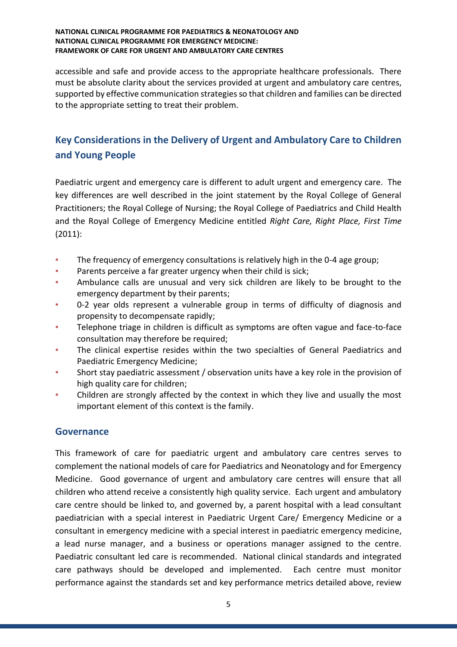accessible and safe and provide access to the appropriate healthcare professionals. There must be absolute clarity about the services provided at urgent and ambulatory care centres, supported by effective communication strategies so that children and families can be directed to the appropriate setting to treat their problem.

# **Key Considerations in the Delivery of Urgent and Ambulatory Care to Children and Young People**

Paediatric urgent and emergency care is different to adult urgent and emergency care. The key differences are well described in the joint statement by the Royal College of General Practitioners; the Royal College of Nursing; the Royal College of Paediatrics and Child Health and the Royal College of Emergency Medicine entitled *Right Care, Right Place, First Time* (2011):

- The frequency of emergency consultations is relatively high in the 0-4 age group;
- Parents perceive a far greater urgency when their child is sick;
- Ambulance calls are unusual and very sick children are likely to be brought to the emergency department by their parents;
- 0-2 year olds represent a vulnerable group in terms of difficulty of diagnosis and propensity to decompensate rapidly;
- **•** Telephone triage in children is difficult as symptoms are often vague and face-to-face consultation may therefore be required;
- The clinical expertise resides within the two specialties of General Paediatrics and Paediatric Emergency Medicine;
- Short stay paediatric assessment / observation units have a key role in the provision of high quality care for children;
- Children are strongly affected by the context in which they live and usually the most important element of this context is the family.

# **Governance**

This framework of care for paediatric urgent and ambulatory care centres serves to complement the national models of care for Paediatrics and Neonatology and for Emergency Medicine. Good governance of urgent and ambulatory care centres will ensure that all children who attend receive a consistently high quality service. Each urgent and ambulatory care centre should be linked to, and governed by, a parent hospital with a lead consultant paediatrician with a special interest in Paediatric Urgent Care/ Emergency Medicine or a consultant in emergency medicine with a special interest in paediatric emergency medicine, a lead nurse manager, and a business or operations manager assigned to the centre. Paediatric consultant led care is recommended. National clinical standards and integrated care pathways should be developed and implemented. Each centre must monitor performance against the standards set and key performance metrics detailed above, review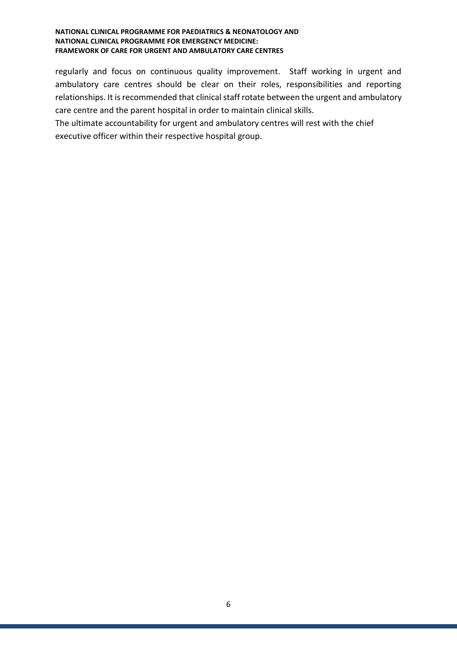regularly and focus on continuous quality improvement. Staff working in urgent and ambulatory care centres should be clear on their roles, responsibilities and reporting relationships. It is recommended that clinical staff rotate between the urgent and ambulatory care centre and the parent hospital in order to maintain clinical skills.

The ultimate accountability for urgent and ambulatory centres will rest with the chief executive officer within their respective hospital group.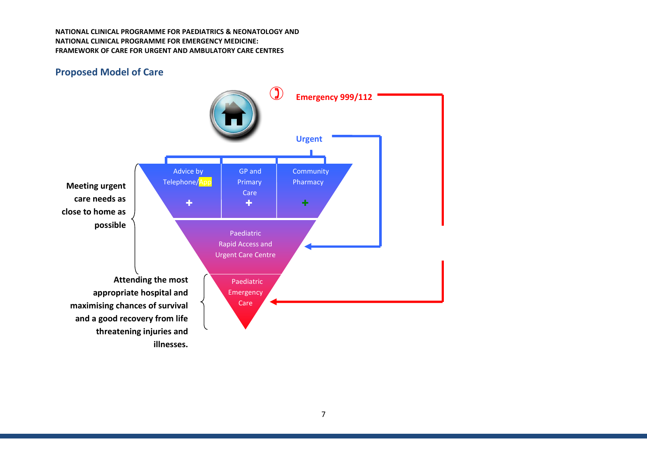# **Proposed Model of Care**

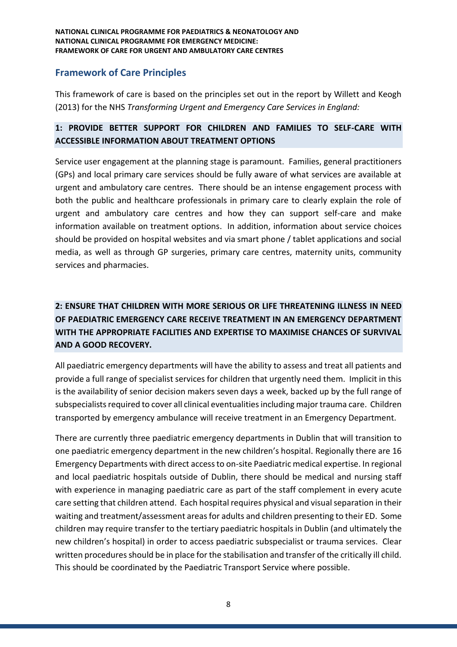# **Framework of Care Principles**

This framework of care is based on the principles set out in the report by Willett and Keogh (2013) for the NHS *Transforming Urgent and Emergency Care Services in England:*

# **1: PROVIDE BETTER SUPPORT FOR CHILDREN AND FAMILIES TO SELF-CARE WITH ACCESSIBLE INFORMATION ABOUT TREATMENT OPTIONS**

Service user engagement at the planning stage is paramount. Families, general practitioners (GPs) and local primary care services should be fully aware of what services are available at urgent and ambulatory care centres. There should be an intense engagement process with both the public and healthcare professionals in primary care to clearly explain the role of urgent and ambulatory care centres and how they can support self-care and make information available on treatment options. In addition, information about service choices should be provided on hospital websites and via smart phone / tablet applications and social media, as well as through GP surgeries, primary care centres, maternity units, community services and pharmacies.

# **2: ENSURE THAT CHILDREN WITH MORE SERIOUS OR LIFE THREATENING ILLNESS IN NEED OF PAEDIATRIC EMERGENCY CARE RECEIVE TREATMENT IN AN EMERGENCY DEPARTMENT WITH THE APPROPRIATE FACILITIES AND EXPERTISE TO MAXIMISE CHANCES OF SURVIVAL AND A GOOD RECOVERY.**

All paediatric emergency departments will have the ability to assess and treat all patients and provide a full range of specialist services for children that urgently need them. Implicit in this is the availability of senior decision makers seven days a week, backed up by the full range of subspecialists required to cover all clinical eventualities including major trauma care. Children transported by emergency ambulance will receive treatment in an Emergency Department.

There are currently three paediatric emergency departments in Dublin that will transition to one paediatric emergency department in the new children's hospital. Regionally there are 16 Emergency Departments with direct access to on-site Paediatric medical expertise. In regional and local paediatric hospitals outside of Dublin, there should be medical and nursing staff with experience in managing paediatric care as part of the staff complement in every acute care setting that children attend. Each hospital requires physical and visual separation in their waiting and treatment/assessment areas for adults and children presenting to their ED. Some children may require transfer to the tertiary paediatric hospitals in Dublin (and ultimately the new children's hospital) in order to access paediatric subspecialist or trauma services. Clear written procedures should be in place for the stabilisation and transfer of the critically ill child. This should be coordinated by the Paediatric Transport Service where possible.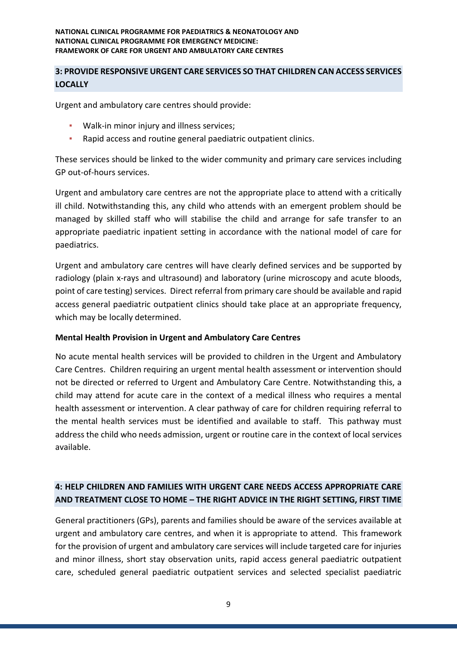# **3: PROVIDE RESPONSIVE URGENT CARE SERVICES SO THAT CHILDREN CAN ACCESS SERVICES LOCALLY**

Urgent and ambulatory care centres should provide:

- Walk-in minor injury and illness services;
- Rapid access and routine general paediatric outpatient clinics.

These services should be linked to the wider community and primary care services including GP out-of-hours services.

Urgent and ambulatory care centres are not the appropriate place to attend with a critically ill child. Notwithstanding this, any child who attends with an emergent problem should be managed by skilled staff who will stabilise the child and arrange for safe transfer to an appropriate paediatric inpatient setting in accordance with the national model of care for paediatrics.

Urgent and ambulatory care centres will have clearly defined services and be supported by radiology (plain x-rays and ultrasound) and laboratory (urine microscopy and acute bloods, point of care testing) services. Direct referral from primary care should be available and rapid access general paediatric outpatient clinics should take place at an appropriate frequency, which may be locally determined.

#### **Mental Health Provision in Urgent and Ambulatory Care Centres**

No acute mental health services will be provided to children in the Urgent and Ambulatory Care Centres. Children requiring an urgent mental health assessment or intervention should not be directed or referred to Urgent and Ambulatory Care Centre. Notwithstanding this, a child may attend for acute care in the context of a medical illness who requires a mental health assessment or intervention. A clear pathway of care for children requiring referral to the mental health services must be identified and available to staff. This pathway must address the child who needs admission, urgent or routine care in the context of local services available.

# **4: HELP CHILDREN AND FAMILIES WITH URGENT CARE NEEDS ACCESS APPROPRIATE CARE AND TREATMENT CLOSE TO HOME – THE RIGHT ADVICE IN THE RIGHT SETTING, FIRST TIME**

General practitioners (GPs), parents and families should be aware of the services available at urgent and ambulatory care centres, and when it is appropriate to attend. This framework for the provision of urgent and ambulatory care services will include targeted care for injuries and minor illness, short stay observation units, rapid access general paediatric outpatient care, scheduled general paediatric outpatient services and selected specialist paediatric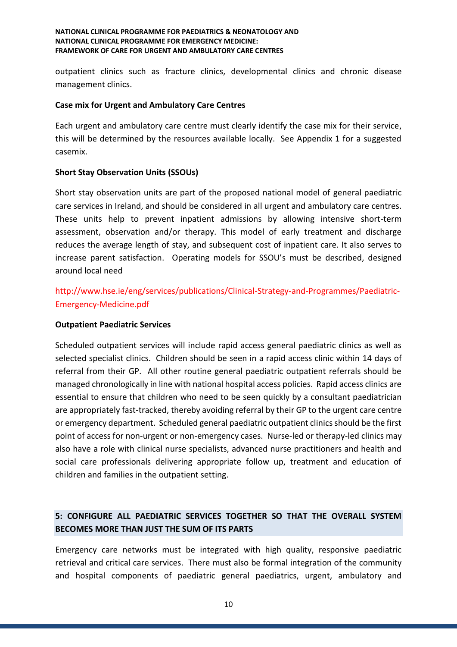outpatient clinics such as fracture clinics, developmental clinics and chronic disease management clinics.

### **Case mix for Urgent and Ambulatory Care Centres**

Each urgent and ambulatory care centre must clearly identify the case mix for their service, this will be determined by the resources available locally. See Appendix 1 for a suggested casemix.

# **Short Stay Observation Units (SSOUs)**

Short stay observation units are part of the proposed national model of general paediatric care services in Ireland, and should be considered in all urgent and ambulatory care centres. These units help to prevent inpatient admissions by allowing intensive short-term assessment, observation and/or therapy. This model of early treatment and discharge reduces the average length of stay, and subsequent cost of inpatient care. It also serves to increase parent satisfaction. Operating models for SSOU's must be described, designed around local need

http://www.hse.ie/eng/services/publications/Clinical-Strategy-and-Programmes/Paediatric-Emergency-Medicine.pdf

### **Outpatient Paediatric Services**

Scheduled outpatient services will include rapid access general paediatric clinics as well as selected specialist clinics. Children should be seen in a rapid access clinic within 14 days of referral from their GP. All other routine general paediatric outpatient referrals should be managed chronologically in line with national hospital access policies. Rapid access clinics are essential to ensure that children who need to be seen quickly by a consultant paediatrician are appropriately fast-tracked, thereby avoiding referral by their GP to the urgent care centre or emergency department. Scheduled general paediatric outpatient clinics should be the first point of access for non-urgent or non-emergency cases. Nurse-led or therapy-led clinics may also have a role with clinical nurse specialists, advanced nurse practitioners and health and social care professionals delivering appropriate follow up, treatment and education of children and families in the outpatient setting.

# **5: CONFIGURE ALL PAEDIATRIC SERVICES TOGETHER SO THAT THE OVERALL SYSTEM BECOMES MORE THAN JUST THE SUM OF ITS PARTS**

Emergency care networks must be integrated with high quality, responsive paediatric retrieval and critical care services. There must also be formal integration of the community and hospital components of paediatric general paediatrics, urgent, ambulatory and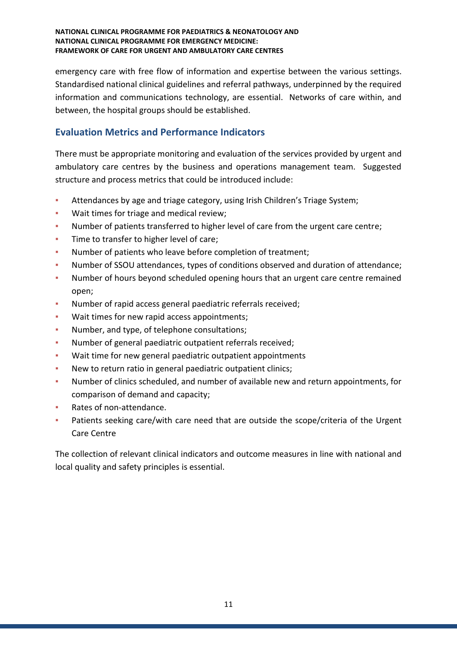emergency care with free flow of information and expertise between the various settings. Standardised national clinical guidelines and referral pathways, underpinned by the required information and communications technology, are essential. Networks of care within, and between, the hospital groups should be established.

# **Evaluation Metrics and Performance Indicators**

There must be appropriate monitoring and evaluation of the services provided by urgent and ambulatory care centres by the business and operations management team. Suggested structure and process metrics that could be introduced include:

- Attendances by age and triage category, using Irish Children's Triage System;
- **Wait times for triage and medical review;**
- Number of patients transferred to higher level of care from the urgent care centre;
- **·** Time to transfer to higher level of care;
- Number of patients who leave before completion of treatment;
- Number of SSOU attendances, types of conditions observed and duration of attendance;
- Number of hours beyond scheduled opening hours that an urgent care centre remained open;
- Number of rapid access general paediatric referrals received;
- Wait times for new rapid access appointments;
- Number, and type, of telephone consultations;
- Number of general paediatric outpatient referrals received;
- Wait time for new general paediatric outpatient appointments
- New to return ratio in general paediatric outpatient clinics;
- Number of clinics scheduled, and number of available new and return appointments, for comparison of demand and capacity;
- Rates of non-attendance.
- Patients seeking care/with care need that are outside the scope/criteria of the Urgent Care Centre

The collection of relevant clinical indicators and outcome measures in line with national and local quality and safety principles is essential.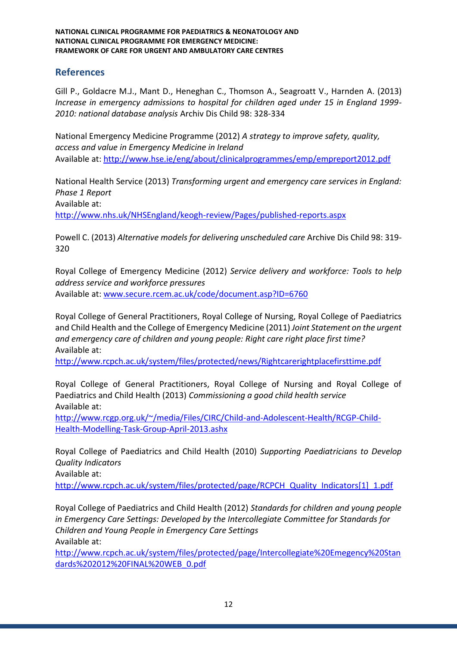# **References**

Gill P., Goldacre M.J., Mant D., Heneghan C., Thomson A., Seagroatt V., Harnden A. (2013) *Increase in emergency admissions to hospital for children aged under 15 in England 1999- 2010: national database analysis* Archiv Dis Child 98: 328-334

National Emergency Medicine Programme (2012) *A strategy to improve safety, quality, access and value in Emergency Medicine in Ireland* Available at:<http://www.hse.ie/eng/about/clinicalprogrammes/emp/empreport2012.pdf>

National Health Service (2013) *Transforming urgent and emergency care services in England: Phase 1 Report* Available at:

<http://www.nhs.uk/NHSEngland/keogh-review/Pages/published-reports.aspx>

Powell C. (2013) *Alternative models for delivering unscheduled care* Archive Dis Child 98: 319- 320

Royal College of Emergency Medicine (2012) *Service delivery and workforce: Tools to help address service and workforce pressures* Available at: [www.secure.rcem.ac.uk/code/document.asp?ID=6760](http://www.secure.rcem.ac.uk/code/document.asp?ID=6760)

Royal College of General Practitioners, Royal College of Nursing, Royal College of Paediatrics and Child Health and the College of Emergency Medicine (2011) *Joint Statement on the urgent and emergency care of children and young people: Right care right place first time?* Available at:

<http://www.rcpch.ac.uk/system/files/protected/news/Rightcarerightplacefirsttime.pdf>

Royal College of General Practitioners, Royal College of Nursing and Royal College of Paediatrics and Child Health (2013) *Commissioning a good child health service* Available at:

[http://www.rcgp.org.uk/~/media/Files/CIRC/Child-and-Adolescent-Health/RCGP-Child-](http://www.rcgp.org.uk/~/media/Files/CIRC/Child-and-Adolescent-Health/RCGP-Child-Health-Modelling-Task-Group-April-2013.ashx)[Health-Modelling-Task-Group-April-2013.ashx](http://www.rcgp.org.uk/~/media/Files/CIRC/Child-and-Adolescent-Health/RCGP-Child-Health-Modelling-Task-Group-April-2013.ashx)

Royal College of Paediatrics and Child Health (2010) *Supporting Paediatricians to Develop Quality Indicators*

Available at:

[http://www.rcpch.ac.uk/system/files/protected/page/RCPCH\\_Quality\\_Indicators\[1\]\\_1.pdf](http://www.rcpch.ac.uk/system/files/protected/page/RCPCH_Quality_Indicators%5b1%5d_1.pdf)

Royal College of Paediatrics and Child Health (2012) *Standards for children and young people in Emergency Care Settings: Developed by the Intercollegiate Committee for Standards for Children and Young People in Emergency Care Settings* Available at:

[http://www.rcpch.ac.uk/system/files/protected/page/Intercollegiate%20Emegency%20Stan](http://www.rcpch.ac.uk/system/files/protected/page/Intercollegiate%20Emegency%20Standards%202012%20FINAL%20WEB_0.pdf) [dards%202012%20FINAL%20WEB\\_0.pdf](http://www.rcpch.ac.uk/system/files/protected/page/Intercollegiate%20Emegency%20Standards%202012%20FINAL%20WEB_0.pdf)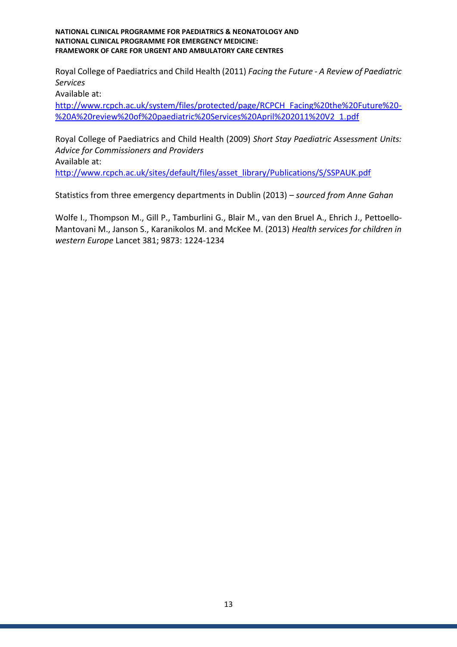Royal College of Paediatrics and Child Health (2011) *Facing the Future - A Review of Paediatric Services*

Available at:

[http://www.rcpch.ac.uk/system/files/protected/page/RCPCH\\_Facing%20the%20Future%20-](http://www.rcpch.ac.uk/system/files/protected/page/RCPCH_Facing%20the%20Future%20-%20A%20review%20of%20paediatric%20Services%20April%202011%20V2_1.pdf) [%20A%20review%20of%20paediatric%20Services%20April%202011%20V2\\_1.pdf](http://www.rcpch.ac.uk/system/files/protected/page/RCPCH_Facing%20the%20Future%20-%20A%20review%20of%20paediatric%20Services%20April%202011%20V2_1.pdf)

Royal College of Paediatrics and Child Health (2009) *Short Stay Paediatric Assessment Units: Advice for Commissioners and Providers* Available at: [http://www.rcpch.ac.uk/sites/default/files/asset\\_library/Publications/S/SSPAUK.pdf](http://www.rcpch.ac.uk/sites/default/files/asset_library/Publications/S/SSPAUK.pdf)

Statistics from three emergency departments in Dublin (2013) – *sourced from Anne Gahan*

Wolfe I., Thompson M., Gill P., Tamburlini G., Blair M., van den Bruel A., Ehrich J., Pettoello-Mantovani M., Janson S., Karanikolos M. and McKee M. (2013) *Health services for children in western Europe* Lancet 381; 9873: 1224-1234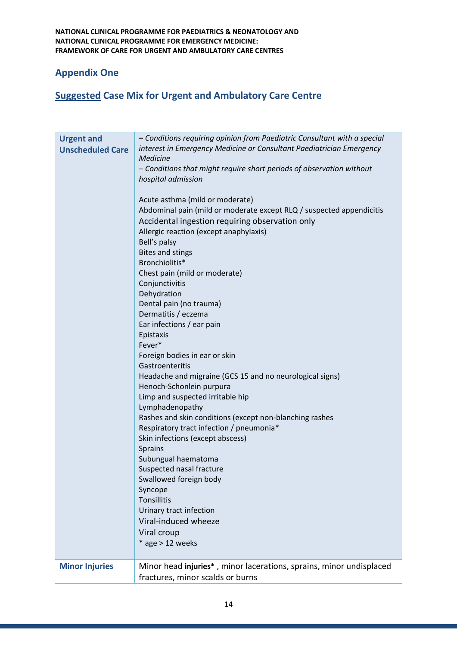# **Appendix One**

# **Suggested Case Mix for Urgent and Ambulatory Care Centre**

| <b>Urgent and</b><br><b>Unscheduled Care</b> | - Conditions requiring opinion from Paediatric Consultant with a special<br>interest in Emergency Medicine or Consultant Paediatrician Emergency<br>Medicine<br>- Conditions that might require short periods of observation without<br>hospital admission<br>Acute asthma (mild or moderate)<br>Abdominal pain (mild or moderate except RLQ / suspected appendicitis<br>Accidental ingestion requiring observation only<br>Allergic reaction (except anaphylaxis)<br>Bell's palsy<br><b>Bites and stings</b><br>Bronchiolitis*<br>Chest pain (mild or moderate)<br>Conjunctivitis<br>Dehydration<br>Dental pain (no trauma)<br>Dermatitis / eczema<br>Ear infections / ear pain<br>Epistaxis<br>Fever*<br>Foreign bodies in ear or skin<br>Gastroenteritis<br>Headache and migraine (GCS 15 and no neurological signs)<br>Henoch-Schonlein purpura<br>Limp and suspected irritable hip<br>Lymphadenopathy<br>Rashes and skin conditions (except non-blanching rashes<br>Respiratory tract infection / pneumonia*<br>Skin infections (except abscess)<br><b>Sprains</b><br>Subungual haematoma<br>Suspected nasal fracture<br>Swallowed foreign body<br>Syncope<br>Tonsillitis |
|----------------------------------------------|--------------------------------------------------------------------------------------------------------------------------------------------------------------------------------------------------------------------------------------------------------------------------------------------------------------------------------------------------------------------------------------------------------------------------------------------------------------------------------------------------------------------------------------------------------------------------------------------------------------------------------------------------------------------------------------------------------------------------------------------------------------------------------------------------------------------------------------------------------------------------------------------------------------------------------------------------------------------------------------------------------------------------------------------------------------------------------------------------------------------------------------------------------------------------------|
|                                              | Urinary tract infection                                                                                                                                                                                                                                                                                                                                                                                                                                                                                                                                                                                                                                                                                                                                                                                                                                                                                                                                                                                                                                                                                                                                                        |
|                                              | Viral-induced wheeze<br>Viral croup<br>$*$ age > 12 weeks                                                                                                                                                                                                                                                                                                                                                                                                                                                                                                                                                                                                                                                                                                                                                                                                                                                                                                                                                                                                                                                                                                                      |
| <b>Minor Injuries</b>                        | Minor head injuries*, minor lacerations, sprains, minor undisplaced<br>fractures, minor scalds or burns                                                                                                                                                                                                                                                                                                                                                                                                                                                                                                                                                                                                                                                                                                                                                                                                                                                                                                                                                                                                                                                                        |